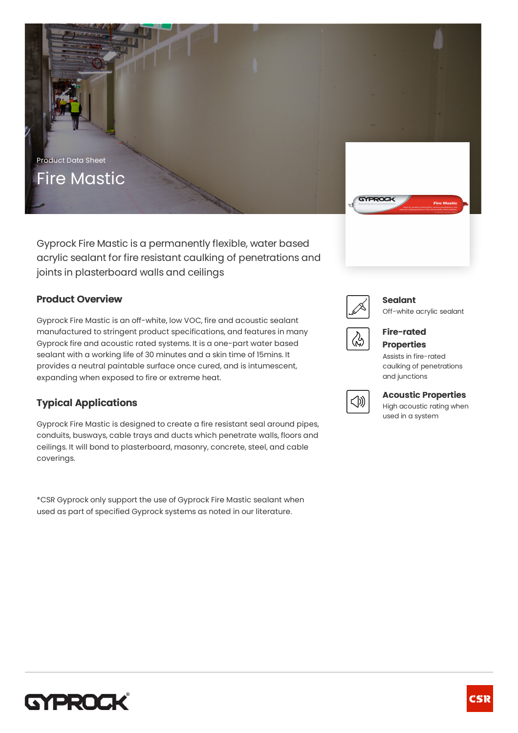

Gyprock Fire Mastic is a permanently flexible, water based acrylic sealant for fire resistant caulking of penetrations and joints in plasterboard walls and ceilings

### **Product Overview**

Gyprock Fire Mastic is an off-white, low VOC, fire and acoustic sealant manufactured to stringent product specifications, and features in many Gyprock fire and acoustic rated systems. It is a one-part water based sealant with a working life of 30 minutes and a skin time of 15mins. It provides a neutral paintable surface once cured, and is intumescent, expanding when exposed to fire or extreme heat.

## **Typical Applications**

Gyprock Fire Mastic is designed to create a fire resistant seal around pipes, conduits, busways, cable trays and ducts which penetrate walls, floors and ceilings. It will bond to plasterboard, masonry, concrete, steel, and cable coverings.

\*CSR Gyprock only support the use of Gyprock Fire Mastic sealant when used as part of specified Gyprock systems as noted in our literature.



#### **Sealant**

Off-white acrylic sealant



#### **Fire-rated Properties**

Assists in fire-rated caulking of penetrations and junctions



## **Acoustic Properties**

High acoustic rating when used in a system

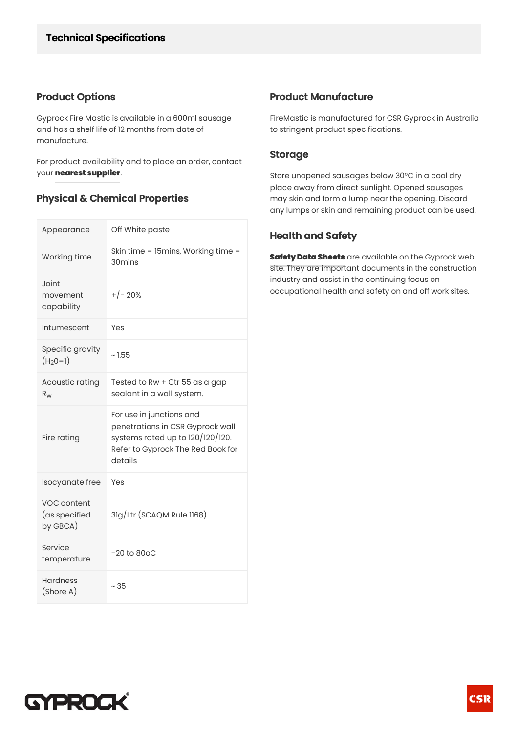### **Product Options**

Gyprock Fire Mastic is available in a 600ml sausage and has a shelf life of 12 months from date of manufacture.

For product availability and to place an order, contact your**[nearestsupplier](http://www.gyprock.com.au/find-a-supplier)**.

## **Physical & Chemical Properties**

| Appearance                               | Off White paste                                                                                                                                  |
|------------------------------------------|--------------------------------------------------------------------------------------------------------------------------------------------------|
| Working time                             | Skin time = 15mins, Working time =<br>30 <sub>mins</sub>                                                                                         |
| Joint<br>movement<br>capability          | $+/- 20%$                                                                                                                                        |
| Intumescent                              | Yes                                                                                                                                              |
| Specific gravity<br>$(H20=1)$            | ~1.55                                                                                                                                            |
| Acoustic rating<br>$R_{W}$               | Tested to Rw + Ctr 55 as a gap<br>sealant in a wall system.                                                                                      |
| Fire rating                              | For use in junctions and<br>penetrations in CSR Gyprock wall<br>systems rated up to 120/120/120.<br>Refer to Gyprock The Red Book for<br>details |
| Isocyanate free                          | Yes                                                                                                                                              |
| VOC content<br>(as specified<br>by GBCA) | 3lg/Ltr (SCAQM Rule 1168)                                                                                                                        |
| Service<br>temperature                   | $-20$ to $80$ oC                                                                                                                                 |
| <b>Hardness</b><br>(Shore A)             | ~ 35                                                                                                                                             |

### **Product Manufacture**

FireMastic is manufactured for CSR Gyprock in Australia to stringent product specifications.

### **Storage**

Store unopened sausages below 30°C in a cool dry place away from direct sunlight. Opened sausages may skin and form a lump near the opening. Discard any lumps or skin and remaining product can be used.

### **Health and Safety**

**Safety Data Sheets** are available on the Gyprock web site. They are important documents in the construction industry and assist in the continuing focus on occupational health and safety on and off work sites.

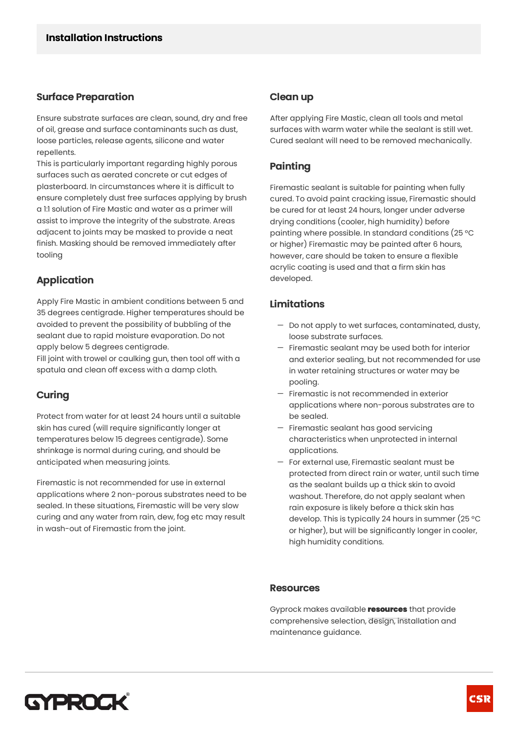#### **Surface Preparation**

Ensure substrate surfaces are clean, sound, dry and free of oil, grease and surface contaminants such as dust, loose particles, release agents, silicone and water repellents.

This is particularly important regarding highly porous surfaces such as aerated concrete or cut edges of plasterboard. In circumstances where it is difficult to ensure completely dust free surfaces applying by brush a 1:1 solution of Fire Mastic and water as a primer will assist to improve the integrity of the substrate. Areas adjacent to joints may be masked to provide a neat finish. Masking should be removed immediately after tooling

## **Application**

Apply Fire Mastic in ambient conditions between 5 and 35 degrees centigrade. Higher temperatures should be avoided to prevent the possibility of bubbling of the sealant due to rapid moisture evaporation. Do not apply below 5 degrees centigrade.

Fill joint with trowel or caulking gun, then tool off with a spatula and clean off excess with a damp cloth.

## **Curing**

Protect from water for at least 24 hours until a suitable skin has cured (will require significantly longer at temperatures below 15 degrees centigrade). Some shrinkage is normal during curing, and should be anticipated when measuring joints.

Firemastic is not recommended for use in external applications where 2 non-porous substrates need to be sealed. In these situations, Firemastic will be very slow curing and any water from rain, dew, fog etc may result in wash-out of Firemastic from the joint.

#### **Cleanup**

After applying Fire Mastic, clean all tools and metal surfaces with warm water while the sealant is still wet. Cured sealant will need to be removed mechanically.

## **Painting**

Firemastic sealant is suitable for painting when fully cured. To avoid paint cracking issue, Firemastic should be cured for at least 24 hours, longer under adverse drying conditions (cooler, high humidity) before painting where possible. In standard conditions (25 °C or higher) Firemastic may be painted after 6 hours, however, care should be taken to ensure a flexible acrylic coating is used and that a firm skin has developed.

### **Limitations**

- $-$  Do not apply to wet surfaces, contaminated, dusty, loose substrate surfaces.
- $-$  Firemastic sealant may be used both for interior and exterior sealing, but not recommended for use in water retaining structures or water may be pooling.
- Firemastic is not recommended in exterior applications where non-porous substrates are to be sealed.
- $-$  Firemastic sealant has good servicing characteristics when unprotected in internal applications.
- For external use, Firemastic sealant must be protected from direct rain or water, until such time as the sealant builds up a thick skin to avoid washout. Therefore, do not apply sealant when rain exposure is likely before a thick skin has develop. This is typically 24 hours in summer (25 °C or higher), but will be significantly longer in cooler, high humidity conditions.

#### **Resources**

Gyprock makes available **[resources](http://www.gyprock.com.au/resources)** that provide comprehensive selection, design, installation and maintenance guidance.